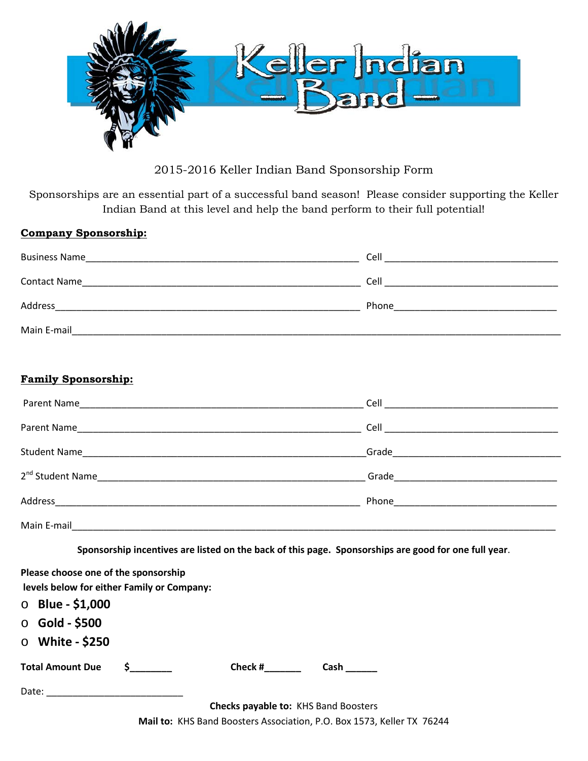

2015-2016 Keller Indian Band Sponsorship Form

Sponsorships are an essential part of a successful band season! Please consider supporting the Keller Indian Band at this level and help the band perform to their full potential!

| <b>Company Sponsorship:</b> |                                                                          |
|-----------------------------|--------------------------------------------------------------------------|
| <b>Business Name</b>        | Cell                                                                     |
| <b>Contact Name</b>         | Cell                                                                     |
| Address                     | Phone<br><u> 1980 - Jan Stein Berlin, mars and de Brasilia (b. 1980)</u> |
| Main E-mail                 |                                                                          |

## **Family Sponsorship:**

| Parent Name                  |  |
|------------------------------|--|
|                              |  |
|                              |  |
| 2 <sup>nd</sup> Student Name |  |
|                              |  |
| Main E-mail                  |  |

**Sponsorship incentives are listed on the back of this page. Sponsorships are good for one full year**.

| Please choose one of the sponsorship                                                                                                                                                                                           |          |                                      |  |
|--------------------------------------------------------------------------------------------------------------------------------------------------------------------------------------------------------------------------------|----------|--------------------------------------|--|
| levels below for either Family or Company:                                                                                                                                                                                     |          |                                      |  |
| $\circ$ Blue - \$1,000                                                                                                                                                                                                         |          |                                      |  |
| $\circ$ Gold - \$500                                                                                                                                                                                                           |          |                                      |  |
| $\circ$ White - \$250                                                                                                                                                                                                          |          |                                      |  |
| <b>Total Amount Due</b>                                                                                                                                                                                                        | $\sim$ 5 | Check #                              |  |
| Date: the contract of the contract of the contract of the contract of the contract of the contract of the contract of the contract of the contract of the contract of the contract of the contract of the contract of the cont |          |                                      |  |
|                                                                                                                                                                                                                                |          | Checks payable to: KHS Band Boosters |  |

**Mail to:** KHS Band Boosters Association, P.O. Box 1573, Keller TX 76244